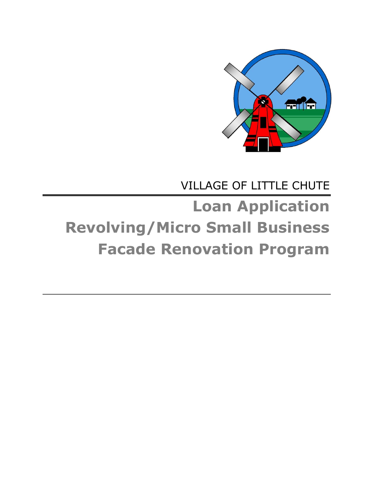

# VILLAGE OF LITTLE CHUTE **Loan Application Revolving/Micro Small Business Facade Renovation Program**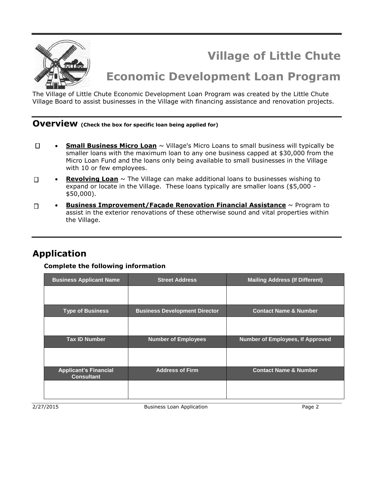

**Village of Little Chute** 

# **Economic Development Loan Program**

The Village of Little Chute Economic Development Loan Program was created by the Little Chute Village Board to assist businesses in the Village with financing assistance and renovation projects.

# **Overview (Check the box for specific loan being applied for)**

- $\Box$ **Small Business Micro Loan** ~ Village's Micro Loans to small business will typically be smaller loans with the maximum loan to any one business capped at \$30,000 from the Micro Loan Fund and the loans only being available to small businesses in the Village with 10 or few employees.
- **Revolving Loan** ~ The Village can make additional loans to businesses wishing to  $\Box$ expand or locate in the Village. These loans typically are smaller loans (\$5,000 - \$50,000).
- **Business Improvement/Façade Renovation Financial Assistance** ~ Program to  $\Box$ assist in the exterior renovations of these otherwise sound and vital properties within the Village.

## **Application**

#### **Complete the following information**

| <b>Business Applicant Name</b>                    | <b>Street Address</b>                | <b>Mailing Address (If Different)</b> |  |
|---------------------------------------------------|--------------------------------------|---------------------------------------|--|
|                                                   |                                      |                                       |  |
| <b>Type of Business</b>                           | <b>Business Development Director</b> | <b>Contact Name &amp; Number</b>      |  |
|                                                   |                                      |                                       |  |
| <b>Tax ID Number</b>                              | <b>Number of Employees</b>           | Number of Employees, If Approved      |  |
|                                                   |                                      |                                       |  |
| <b>Applicant's Financial</b><br><b>Consultant</b> | <b>Address of Firm</b>               | <b>Contact Name &amp; Number</b>      |  |
|                                                   |                                      |                                       |  |

2/27/2015 Business Loan Application Page 2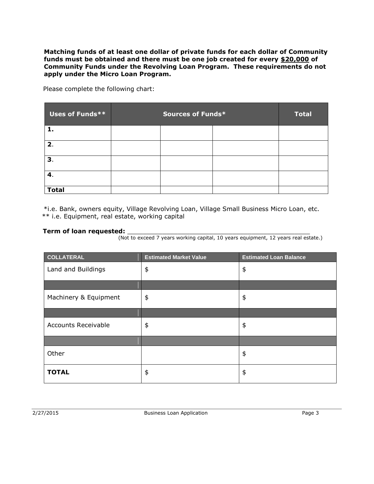**Matching funds of at least one dollar of private funds for each dollar of Community funds must be obtained and there must be one job created for every \$20,000 of Community Funds under the Revolving Loan Program. These requirements do not apply under the Micro Loan Program.**

Please complete the following chart:

| Uses of Funds** | Sources of Funds* |  | <b>Total</b> |  |
|-----------------|-------------------|--|--------------|--|
| 1.              |                   |  |              |  |
| 2.              |                   |  |              |  |
| 3.              |                   |  |              |  |
| 4.              |                   |  |              |  |
| <b>Total</b>    |                   |  |              |  |

 \*i.e. Bank, owners equity, Village Revolving Loan, Village Small Business Micro Loan, etc. \*\* i.e. Equipment, real estate, working capital

#### **Term of loan requested:**

(Not to exceed 7 years working capital, 10 years equipment, 12 years real estate.)

| <b>COLLATERAL</b>          | <b>Estimated Market Value</b> | <b>Estimated Loan Balance</b> |
|----------------------------|-------------------------------|-------------------------------|
| Land and Buildings         | \$                            | \$                            |
|                            |                               |                               |
| Machinery & Equipment      | \$                            | \$                            |
|                            |                               |                               |
| <b>Accounts Receivable</b> | \$                            | \$                            |
|                            |                               |                               |
| Other                      |                               | \$                            |
| <b>TOTAL</b>               | \$                            | \$                            |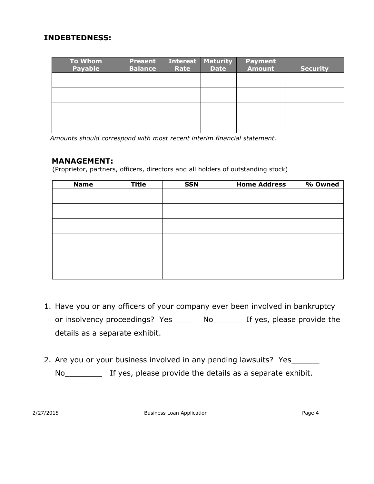## **INDEBTEDNESS:**

| <b>To Whom</b><br><b>Payable</b> | <b>Present</b><br><b>Balance</b> | <b>Interest</b><br>Rate | <b>Maturity</b><br><b>Date</b> | <b>Payment</b><br><b>Amount</b> | <b>Security</b> |
|----------------------------------|----------------------------------|-------------------------|--------------------------------|---------------------------------|-----------------|
|                                  |                                  |                         |                                |                                 |                 |
|                                  |                                  |                         |                                |                                 |                 |
|                                  |                                  |                         |                                |                                 |                 |
|                                  |                                  |                         |                                |                                 |                 |

*Amounts should correspond with most recent interim financial statement.*

### **MANAGEMENT:**

(Proprietor, partners, officers, directors and all holders of outstanding stock)

| <b>Name</b> | <b>Title</b> | <b>SSN</b> | <b>Home Address</b> | % Owned |
|-------------|--------------|------------|---------------------|---------|
|             |              |            |                     |         |
|             |              |            |                     |         |
|             |              |            |                     |         |
|             |              |            |                     |         |
|             |              |            |                     |         |
|             |              |            |                     |         |
|             |              |            |                     |         |
|             |              |            |                     |         |
|             |              |            |                     |         |
|             |              |            |                     |         |
|             |              |            |                     |         |
|             |              |            |                     |         |

- 1. Have you or any officers of your company ever been involved in bankruptcy or insolvency proceedings? Yes\_\_\_\_\_ No\_\_\_\_\_\_ If yes, please provide the details as a separate exhibit.
- 2. Are you or your business involved in any pending lawsuits? Yes\_

No\_\_\_\_\_\_\_\_ If yes, please provide the details as a separate exhibit.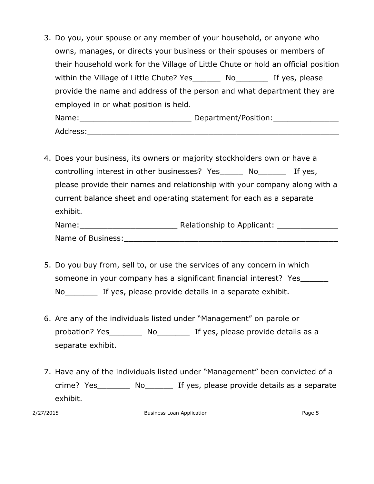- 3. Do you, your spouse or any member of your household, or anyone who owns, manages, or directs your business or their spouses or members of their household work for the Village of Little Chute or hold an official position within the Village of Little Chute? Yes Mo The Yes, please provide the name and address of the person and what department they are employed in or what position is held. Name:\_\_\_\_\_\_\_\_\_\_\_\_\_\_\_\_\_\_\_\_\_\_\_\_ Department/Position:\_\_\_\_\_\_\_\_\_\_\_\_\_\_  $Address:$
- 4. Does your business, its owners or majority stockholders own or have a controlling interest in other businesses? Yes No The Yes, please provide their names and relationship with your company along with a current balance sheet and operating statement for each as a separate exhibit.

| Name:             | Relationship to Applicant: |
|-------------------|----------------------------|
| Name of Business: |                            |

- 5. Do you buy from, sell to, or use the services of any concern in which someone in your company has a significant financial interest? Yes No If yes, please provide details in a separate exhibit.
- 6. Are any of the individuals listed under "Management" on parole or probation? Yes\_\_\_\_\_\_\_ No\_\_\_\_\_\_\_ If yes, please provide details as a separate exhibit.
- 7. Have any of the individuals listed under "Management" been convicted of a crime? Yes\_\_\_\_\_\_\_ No\_\_\_\_\_\_ If yes, please provide details as a separate exhibit.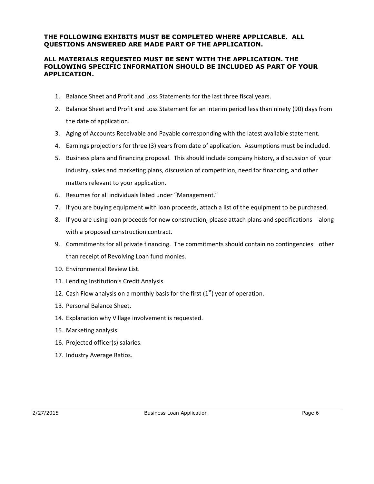#### **THE FOLLOWING EXHIBITS MUST BE COMPLETED WHERE APPLICABLE. ALL QUESTIONS ANSWERED ARE MADE PART OF THE APPLICATION.**

#### **ALL MATERIALS REQUESTED MUST BE SENT WITH THE APPLICATION. THE FOLLOWING SPECIFIC INFORMATION SHOULD BE INCLUDED AS PART OF YOUR APPLICATION.**

- 1. Balance Sheet and Profit and Loss Statements for the last three fiscal years.
- 2. Balance Sheet and Profit and Loss Statement for an interim period less than ninety (90) days from the date of application.
- 3. Aging of Accounts Receivable and Payable corresponding with the latest available statement.
- 4. Earnings projections for three (3) years from date of application. Assumptions must be included.
- 5. Business plans and financing proposal. This should include company history, a discussion of your industry, sales and marketing plans, discussion of competition, need for financing, and other matters relevant to your application.
- 6. Resumes for all individuals listed under "Management."
- 7. If you are buying equipment with loan proceeds, attach a list of the equipment to be purchased.
- 8. If you are using loan proceeds for new construction, please attach plans and specifications along with a proposed construction contract.
- 9. Commitments for all private financing. The commitments should contain no contingencies other than receipt of Revolving Loan fund monies.
- 10. Environmental Review List.
- 11. Lending Institution's Credit Analysis.
- 12. Cash Flow analysis on a monthly basis for the first  $(1<sup>st</sup>)$  year of operation.
- 13. Personal Balance Sheet.
- 14. Explanation why Village involvement is requested.
- 15. Marketing analysis.
- 16. Projected officer(s) salaries.
- 17. Industry Average Ratios.